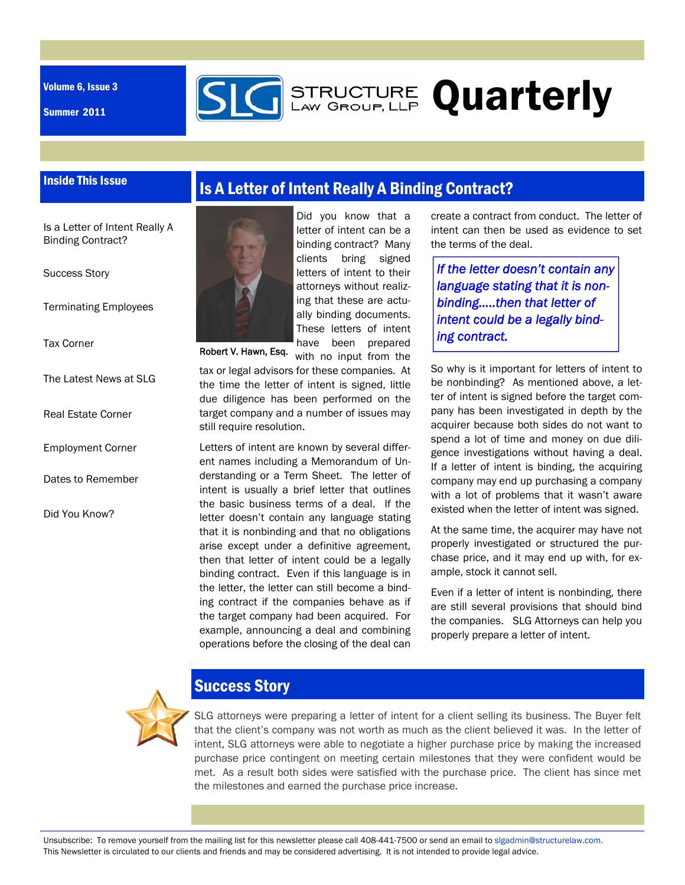Volume 6, Issue 3

Summer 2011



# **GEARG STRUCTURE Quarterly**

#### Inside This Issue

Is a Letter of Intent Really A Binding Contract?

Success Story

Terminating Employees

Tax Corner

The Latest News at SLG

Real Estate Corner

- Employment Corner
- Dates to Remember

Did You Know?

## Is A Letter of Intent Really A Binding Contract?



Did you know that a letter of intent can be a binding contract? Many clients bring signed letters of intent to their attorneys without realizing that these are actually binding documents. These letters of intent have been prepared

with no input from the tax or legal advisors for these companies. At the time the letter of intent is signed, little due diligence has been performed on the target company and a number of issues may still require resolution.

Letters of intent are known by several different names including a Memorandum of Understanding or a Term Sheet. The letter of intent is usually a brief letter that outlines the basic business terms of a deal. If the letter doesn't contain any language stating that it is nonbinding and that no obligations arise except under a definitive agreement, then that letter of intent could be a legally binding contract. Even if this language is in the letter, the letter can still become a binding contract if the companies behave as if the target company had been acquired. For example, announcing a deal and combining operations before the closing of the deal can create a contract from conduct. The letter of intent can then be used as evidence to set the terms of the deal.

*If the letter doesn't contain any language stating that it is nonbinding…..then that letter of intent could be a legally binding contract.* 

So why is it important for letters of intent to be nonbinding? As mentioned above, a letter of intent is signed before the target company has been investigated in depth by the acquirer because both sides do not want to spend a lot of time and money on due diligence investigations without having a deal. If a letter of intent is binding, the acquiring company may end up purchasing a company with a lot of problems that it wasn't aware existed when the letter of intent was signed.

At the same time, the acquirer may have not properly investigated or structured the purchase price, and it may end up with, for example, stock it cannot sell.

Even if a letter of intent is nonbinding, there are still several provisions that should bind the companies. SLG Attorneys can help you properly prepare a letter of intent.



#### Success Story

SLG attorneys were preparing a letter of intent for a client selling its business. The Buyer felt that the client's company was not worth as much as the client believed it was. In the letter of intent, SLG attorneys were able to negotiate a higher purchase price by making the increased purchase price contingent on meeting certain milestones that they were confident would be met. As a result both sides were satisfied with the purchase price. The client has since met the milestones and earned the purchase price increase.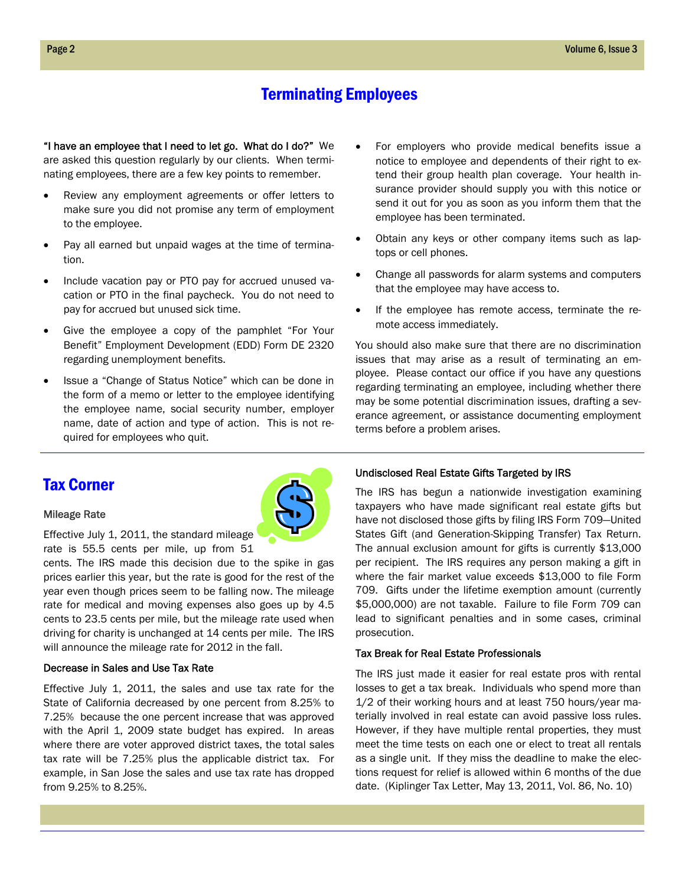#### Terminating Employees

"I have an employee that I need to let go. What do I do?" We are asked this question regularly by our clients. When terminating employees, there are a few key points to remember.

- Review any employment agreements or offer letters to make sure you did not promise any term of employment to the employee.
- Pay all earned but unpaid wages at the time of termination.
- Include vacation pay or PTO pay for accrued unused vacation or PTO in the final paycheck. You do not need to pay for accrued but unused sick time.
- Give the employee a copy of the pamphlet "For Your Benefit" Employment Development (EDD) Form DE 2320 regarding unemployment benefits.
- Issue a "Change of Status Notice" which can be done in the form of a memo or letter to the employee identifying the employee name, social security number, employer name, date of action and type of action. This is not required for employees who quit.
- For employers who provide medical benefits issue a notice to employee and dependents of their right to extend their group health plan coverage. Your health insurance provider should supply you with this notice or send it out for you as soon as you inform them that the employee has been terminated.
- Obtain any keys or other company items such as laptops or cell phones.
- Change all passwords for alarm systems and computers that the employee may have access to.
- If the employee has remote access, terminate the remote access immediately.

You should also make sure that there are no discrimination issues that may arise as a result of terminating an employee. Please contact our office if you have any questions regarding terminating an employee, including whether there may be some potential discrimination issues, drafting a severance agreement, or assistance documenting employment terms before a problem arises.

#### Tax Corner

#### Mileage Rate

Effective July 1, 2011, the standard mileage rate is 55.5 cents per mile, up from 51

cents. The IRS made this decision due to the spike in gas prices earlier this year, but the rate is good for the rest of the year even though prices seem to be falling now. The mileage rate for medical and moving expenses also goes up by 4.5 cents to 23.5 cents per mile, but the mileage rate used when driving for charity is unchanged at 14 cents per mile. The IRS will announce the mileage rate for 2012 in the fall.

#### Decrease in Sales and Use Tax Rate

Effective July 1, 2011, the sales and use tax rate for the State of California decreased by one percent from 8.25% to 7.25% because the one percent increase that was approved with the April 1, 2009 state budget has expired. In areas where there are voter approved district taxes, the total sales tax rate will be 7.25% plus the applicable district tax. For example, in San Jose the sales and use tax rate has dropped from 9.25% to 8.25%.



The IRS has begun a nationwide investigation examining taxpayers who have made significant real estate gifts but have not disclosed those gifts by filing IRS Form 709—United States Gift (and Generation-Skipping Transfer) Tax Return. The annual exclusion amount for gifts is currently \$13,000 per recipient. The IRS requires any person making a gift in where the fair market value exceeds \$13,000 to file Form 709. Gifts under the lifetime exemption amount (currently \$5,000,000) are not taxable. Failure to file Form 709 can lead to significant penalties and in some cases, criminal prosecution.

#### Tax Break for Real Estate Professionals

The IRS just made it easier for real estate pros with rental losses to get a tax break. Individuals who spend more than 1/2 of their working hours and at least 750 hours/year materially involved in real estate can avoid passive loss rules. However, if they have multiple rental properties, they must meet the time tests on each one or elect to treat all rentals as a single unit. If they miss the deadline to make the elections request for relief is allowed within 6 months of the due date. (Kiplinger Tax Letter, May 13, 2011, Vol. 86, No. 10)

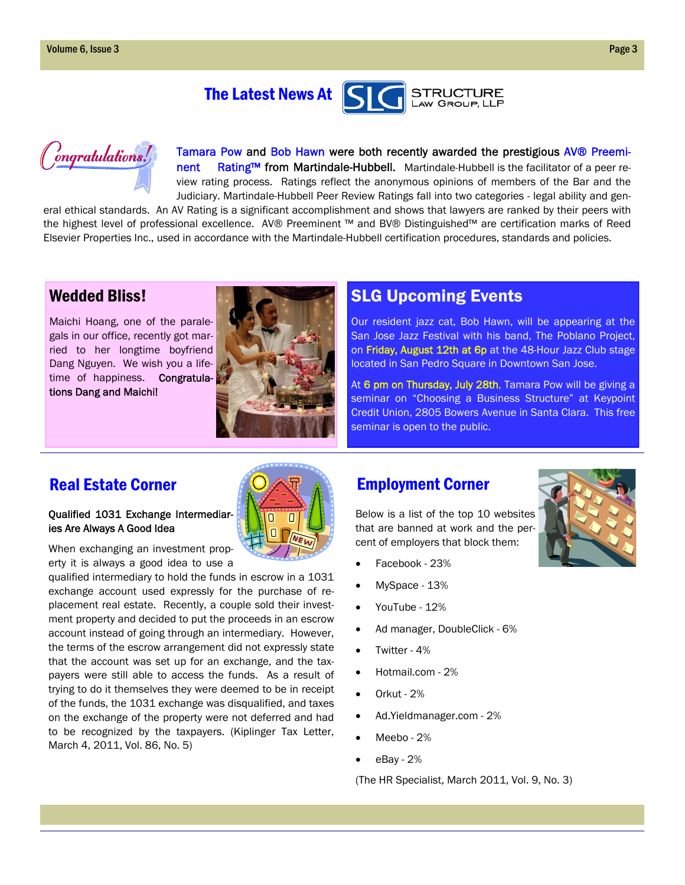



Tamara Pow and Bob Hawn were both recently awarded the prestigious AV® Preeminent Rating™ from Martindale-Hubbell. Martindale-Hubbell is the facilitator of a peer review rating process. Ratings reflect the anonymous opinions of members of the Bar and the Judiciary. Martindale-Hubbell Peer Review Ratings fall into two categories - legal ability and gen-

eral ethical standards. An AV Rating is a significant accomplishment and shows that lawyers are ranked by their peers with the highest level of professional excellence. AV® Preeminent ™ and BV® Distinguished™ are certification marks of Reed Elsevier Properties Inc., used in accordance with the Martindale-Hubbell certification procedures, standards and policies.

#### Wedded Bliss!

Maichi Hoang, one of the paralegals in our office, recently got married to her longtime boyfriend Dang Nguyen. We wish you a lifetime of happiness. Congratulations Dang and Maichi!



### SLG Upcoming Events

Our resident jazz cat, Bob Hawn, will be appearing at the San Jose Jazz Festival with his band, The Poblano Project, on Friday, August 12th at 6p at the 48-Hour Jazz Club stage located in San Pedro Square in Downtown San Jose.

At 6 pm on Thursday, July 28th, Tamara Pow will be giving a seminar on "Choosing a Business Structure" at Keypoint Credit Union, 2805 Bowers Avenue in Santa Clara. This free seminar is open to the public.

### Real Estate Corner **Employment Corner**

#### Qualified 1031 Exchange Intermediaries Are Always A Good Idea

When exchanging an investment property it is always a good idea to use a

qualified intermediary to hold the funds in escrow in a 1031 exchange account used expressly for the purchase of replacement real estate. Recently, a couple sold their investment property and decided to put the proceeds in an escrow account instead of going through an intermediary. However, the terms of the escrow arrangement did not expressly state that the account was set up for an exchange, and the taxpayers were still able to access the funds. As a result of trying to do it themselves they were deemed to be in receipt of the funds, the 1031 exchange was disqualified, and taxes on the exchange of the property were not deferred and had to be recognized by the taxpayers. (Kiplinger Tax Letter, March 4, 2011, Vol. 86, No. 5)



## Below is a list of the top 10 websites that are banned at work and the percent of employers that block them:

- Facebook 23%
- MySpace 13%
- YouTube 12%
- Ad manager, DoubleClick 6%
- Twitter 4%
- Hotmail.com 2%
- Orkut 2%
- Ad.Yieldmanager.com 2%
- Meebo 2%
- eBay 2%

(The HR Specialist, March 2011, Vol. 9, No. 3)